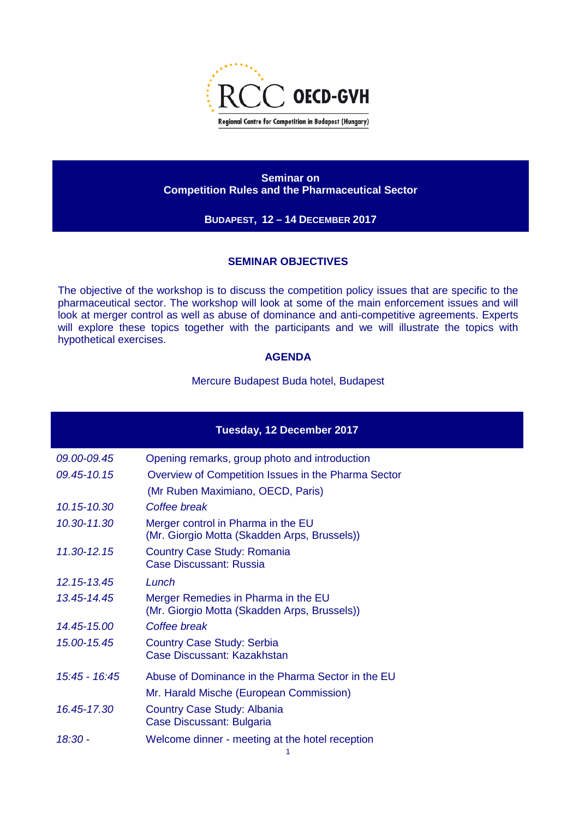

**Seminar on Competition Rules and the Pharmaceutical Sector**

**BUDAPEST, 12 – 14 DECEMBER 2017**

## **SEMINAR OBJECTIVES**

The objective of the workshop is to discuss the competition policy issues that are specific to the pharmaceutical sector. The workshop will look at some of the main enforcement issues and will look at merger control as well as abuse of dominance and anti-competitive agreements. Experts will explore these topics together with the participants and we will illustrate the topics with hypothetical exercises.

## **AGENDA**

Mercure Budapest Buda hotel, Budapest

| Tuesday, 12 December 2017 |                                                                                     |
|---------------------------|-------------------------------------------------------------------------------------|
| 09.00-09.45               | Opening remarks, group photo and introduction                                       |
| 09.45-10.15               | Overview of Competition Issues in the Pharma Sector                                 |
|                           | (Mr Ruben Maximiano, OECD, Paris)                                                   |
| 10.15-10.30               | Coffee break                                                                        |
| 10.30-11.30               | Merger control in Pharma in the EU<br>(Mr. Giorgio Motta (Skadden Arps, Brussels))  |
| 11.30-12.15               | Country Case Study: Romania<br><b>Case Discussant: Russia</b>                       |
| 12.15-13.45               | Lunch                                                                               |
| 13.45-14.45               | Merger Remedies in Pharma in the EU<br>(Mr. Giorgio Motta (Skadden Arps, Brussels)) |
| 14.45-15.00               | Coffee break                                                                        |
| 15.00-15.45               | <b>Country Case Study: Serbia</b><br>Case Discussant: Kazakhstan                    |
| 15:45 - 16:45             | Abuse of Dominance in the Pharma Sector in the EU                                   |
|                           | Mr. Harald Mische (European Commission)                                             |
| 16.45-17.30               | <b>Country Case Study: Albania</b><br>Case Discussant: Bulgaria                     |
| 18:30 -                   | Welcome dinner - meeting at the hotel reception<br>1                                |